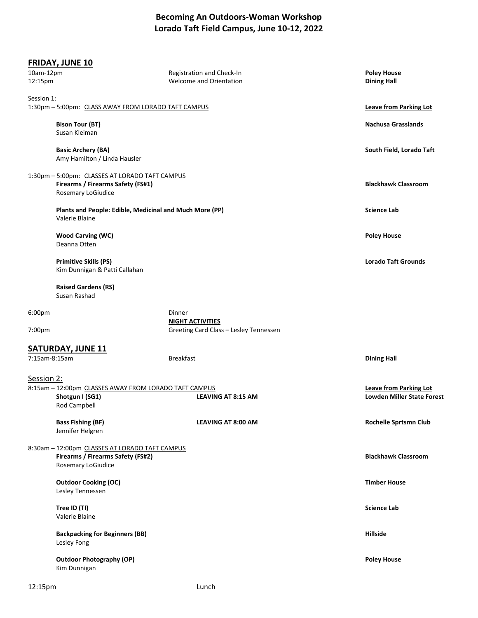## **Becoming An Outdoors-Woman Workshop Lorado Taft Field Campus, June 10-12, 2022**

|                                                                                                        | <b>FRIDAY, JUNE 10</b>                                                                                    |                                                                   |                                                             |
|--------------------------------------------------------------------------------------------------------|-----------------------------------------------------------------------------------------------------------|-------------------------------------------------------------------|-------------------------------------------------------------|
| 10am-12pm<br>12:15pm                                                                                   |                                                                                                           | Registration and Check-In<br>Welcome and Orientation              | <b>Poley House</b><br><b>Dining Hall</b>                    |
| Session 1:                                                                                             |                                                                                                           |                                                                   | <b>Leave from Parking Lot</b>                               |
| 1:30pm - 5:00pm: CLASS AWAY FROM LORADO TAFT CAMPUS                                                    |                                                                                                           |                                                                   |                                                             |
|                                                                                                        | <b>Bison Tour (BT)</b><br>Susan Kleiman                                                                   |                                                                   | <b>Nachusa Grasslands</b>                                   |
|                                                                                                        | <b>Basic Archery (BA)</b><br>Amy Hamilton / Linda Hausler                                                 |                                                                   | South Field, Lorado Taft                                    |
|                                                                                                        | 1:30pm - 5:00pm: CLASSES AT LORADO TAFT CAMPUS<br>Firearms / Firearms Safety (FS#1)<br>Rosemary LoGiudice |                                                                   | <b>Blackhawk Classroom</b>                                  |
|                                                                                                        | Plants and People: Edible, Medicinal and Much More (PP)<br>Valerie Blaine                                 |                                                                   | <b>Science Lab</b>                                          |
|                                                                                                        | <b>Wood Carving (WC)</b><br>Deanna Otten                                                                  |                                                                   | <b>Poley House</b>                                          |
|                                                                                                        | <b>Primitive Skills (PS)</b><br>Kim Dunnigan & Patti Callahan                                             |                                                                   | <b>Lorado Taft Grounds</b>                                  |
|                                                                                                        | <b>Raised Gardens (RS)</b><br>Susan Rashad                                                                |                                                                   |                                                             |
| 6:00 <sub>pm</sub>                                                                                     |                                                                                                           | Dinner                                                            |                                                             |
| 7:00pm                                                                                                 |                                                                                                           | <b>NIGHT ACTIVITIES</b><br>Greeting Card Class - Lesley Tennessen |                                                             |
|                                                                                                        | <b>SATURDAY, JUNE 11</b>                                                                                  |                                                                   |                                                             |
| 7:15am-8:15am                                                                                          |                                                                                                           | <b>Breakfast</b>                                                  | <b>Dining Hall</b>                                          |
| Session 2:<br>8:15am - 12:00pm CLASSES AWAY FROM LORADO TAFT CAMPUS<br>Shotgun I (SG1)<br>Rod Campbell |                                                                                                           | LEAVING AT 8:15 AM                                                | <b>Leave from Parking Lot</b><br>Lowden Miller State Forest |
|                                                                                                        | <b>Bass Fishing (BF)</b><br>Jennifer Helgren                                                              | LEAVING AT 8:00 AM                                                | <b>Rochelle Sprtsmn Club</b>                                |
|                                                                                                        | 8:30am - 12:00pm CLASSES AT LORADO TAFT CAMPUS<br>Firearms / Firearms Safety (FS#2)<br>Rosemary LoGiudice |                                                                   | <b>Blackhawk Classroom</b>                                  |
|                                                                                                        | <b>Outdoor Cooking (OC)</b><br>Lesley Tennessen                                                           |                                                                   | <b>Timber House</b>                                         |
|                                                                                                        | Tree ID (TI)<br>Valerie Blaine                                                                            |                                                                   | <b>Science Lab</b>                                          |
|                                                                                                        | <b>Backpacking for Beginners (BB)</b><br>Lesley Fong                                                      |                                                                   | <b>Hillside</b>                                             |
|                                                                                                        | <b>Outdoor Photography (OP)</b><br>Kim Dunnigan                                                           |                                                                   | <b>Poley House</b>                                          |